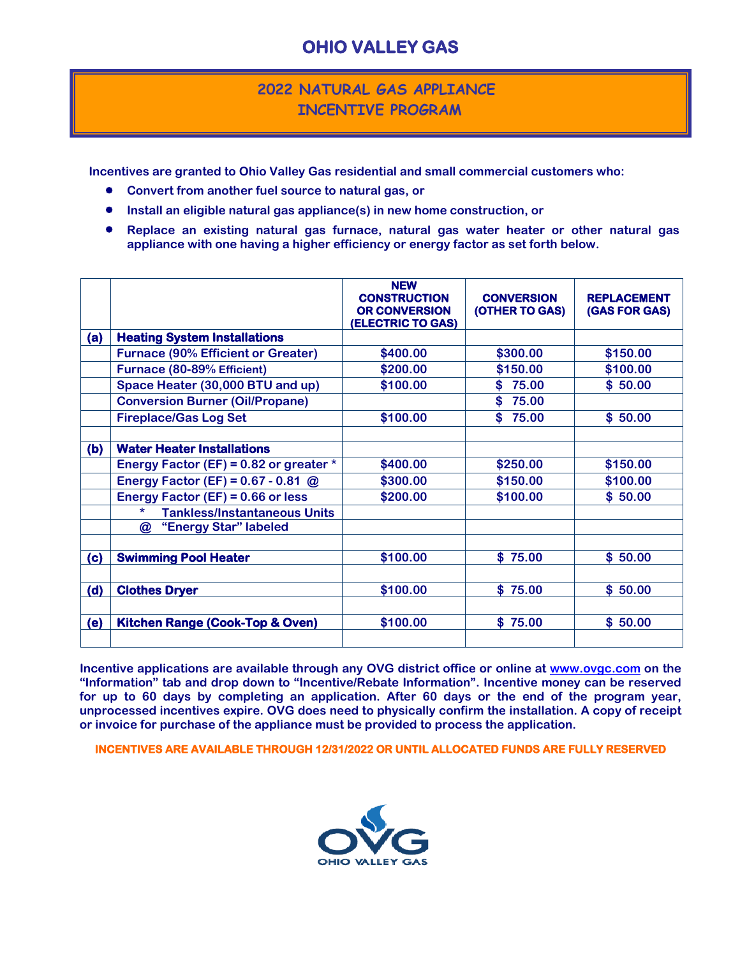## **OHIO VALLEY GAS**

## **2022 NATURAL GAS APPLIANCE INCENTIVE PROGRAM**

**Incentives are granted to Ohio Valley Gas residential and small commercial customers who:**

- **Convert from another fuel source to natural gas, or**
- **Install an eligible natural gas appliance(s) in new home construction, or**
- **Replace an existing natural gas furnace, natural gas water heater or other natural gas appliance with one having a higher efficiency or energy factor as set forth below.**

|     |                                                | <b>NEW</b><br><b>CONSTRUCTION</b><br><b>OR CONVERSION</b><br>(ELECTRIC TO GAS) | <b>CONVERSION</b><br>(OTHER TO GAS) | <b>REPLACEMENT</b><br>(GAS FOR GAS) |
|-----|------------------------------------------------|--------------------------------------------------------------------------------|-------------------------------------|-------------------------------------|
| (a) | <b>Heating System Installations</b>            |                                                                                |                                     |                                     |
|     | <b>Furnace (90% Efficient or Greater)</b>      | \$400.00                                                                       | \$300.00                            | \$150.00                            |
|     | Furnace (80-89% Efficient)                     | \$200.00                                                                       | \$150.00                            | \$100.00                            |
|     | Space Heater (30,000 BTU and up)               | \$100.00                                                                       | \$75.00                             | \$50.00                             |
|     | <b>Conversion Burner (Oil/Propane)</b>         |                                                                                | \$75.00                             |                                     |
|     | <b>Fireplace/Gas Log Set</b>                   | \$100.00                                                                       | \$<br>75.00                         | \$50.00                             |
| (b) | <b>Water Heater Installations</b>              |                                                                                |                                     |                                     |
|     | Energy Factor (EF) = 0.82 or greater $*$       | \$400.00                                                                       | \$250.00                            | \$150.00                            |
|     | <b>Energy Factor (EF) = 0.67 - 0.81 @</b>      | \$300.00                                                                       | \$150.00                            | \$100.00                            |
|     | Energy Factor (EF) = $0.66$ or less            | \$200.00                                                                       | \$100.00                            | \$50.00                             |
|     | $\star$<br><b>Tankless/Instantaneous Units</b> |                                                                                |                                     |                                     |
|     | $\circledR$<br>"Energy Star" labeled           |                                                                                |                                     |                                     |
| (c) | <b>Swimming Pool Heater</b>                    | \$100.00                                                                       | \$75.00                             | \$50.00                             |
| (d) | <b>Clothes Dryer</b>                           | \$100.00                                                                       | \$75.00                             | \$50.00                             |
| (e) | Kitchen Range (Cook-Top & Oven)                | \$100.00                                                                       | \$75.00                             | \$50.00                             |

**Incentive applications are available through any OVG district office or online at [www.ovgc.com](http://www.ovgc.com/) on the "Information" tab and drop down to "Incentive/Rebate Information". Incentive money can be reserved for up to 60 days by completing an application. After 60 days or the end of the program year, unprocessed incentives expire. OVG does need to physically confirm the installation. A copy of receipt or invoice for purchase of the appliance must be provided to process the application.** 

**INCENTIVES ARE AVAILABLE THROUGH 12/31/2022 OR UNTIL ALLOCATED FUNDS ARE FULLY RESERVED**